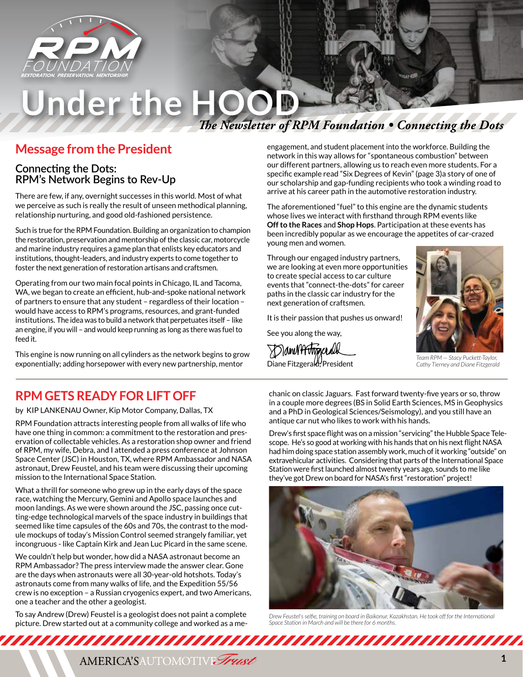

# *The Newsletter of RPM Foundation • Connecting the Dots* Under the HOO

### **Message from the President**

### **Connecting the Dots: RPM's Network Begins to Rev-Up**

There are few, if any, overnight successes in this world. Most of what we perceive as such is really the result of unseen methodical planning, relationship nurturing, and good old-fashioned persistence.

Such is true for the RPM Foundation. Building an organization to champion the restoration, preservation and mentorship of the classic car, motorcycle and marine industry requires a game plan that enlists key educators and institutions, thought-leaders, and industry experts to come together to foster the next generation of restoration artisans and craftsmen.

Operating from our two main focal points in Chicago, IL and Tacoma, WA, we began to create an efficient, hub-and-spoke national network of partners to ensure that any student – regardless of their location – would have access to RPM's programs, resources, and grant-funded institutions. The idea was to build a network that perpetuates itself – like an engine, if you will – and would keep running as long as there was fuel to feed it.

This engine is now running on all cylinders as the network begins to grow exponentially; adding horsepower with every new partnership, mentor

## **RPM GETS READY FOR LIFT OFF**

by KIP LANKENAU Owner, Kip Motor Company, Dallas, TX

RPM Foundation attracts interesting people from all walks of life who have one thing in common: a commitment to the restoration and preservation of collectable vehicles. As a restoration shop owner and friend of RPM, my wife, Debra, and I attended a press conference at Johnson Space Center (JSC) in Houston, TX, where RPM Ambassador and NASA astronaut, Drew Feustel, and his team were discussing their upcoming mission to the International Space Station.

What a thrill for someone who grew up in the early days of the space race, watching the Mercury, Gemini and Apollo space launches and moon landings. As we were shown around the JSC, passing once cutting-edge technological marvels of the space industry in buildings that seemed like time capsules of the 60s and 70s, the contrast to the module mockups of today's Mission Control seemed strangely familiar, yet incongruous - like Captain Kirk and Jean Luc Picard in the same scene.

We couldn't help but wonder, how did a NASA astronaut become an RPM Ambassador? The press interview made the answer clear. Gone are the days when astronauts were all 30-year-old hotshots. Today's astronauts come from many walks of life, and the Expedition 55/56 crew is no exception – a Russian cryogenics expert, and two Americans, one a teacher and the other a geologist.

To say Andrew (Drew) Feustel is a geologist does not paint a complete picture. Drew started out at a community college and worked as a meengagement, and student placement into the workforce. Building the network in this way allows for "spontaneous combustion" between our different partners, allowing us to reach even more students. For a specific example read "Six Degrees of Kevin" (page 3)a story of one of our scholarship and gap-funding recipients who took a winding road to arrive at his career path in the automotive restoration industry.

The aforementioned "fuel" to this engine are the dynamic students whose lives we interact with firsthand through RPM events like **Off to the Races** and **Shop Hops**. Participation at these events has been incredibly popular as we encourage the appetites of car-crazed young men and women.

Through our engaged industry partners, we are looking at even more opportunities to create special access to car culture events that "connect-the-dots" for career paths in the classic car industry for the next generation of craftsmen.

It is their passion that pushes us onward!

See you along the way,

DanNHittgaceall Diane Fitzgerald, President



*Team RPM — Stacy Puckett-Taylor, Cathy Tierney and Diane Fitzgerald*

chanic on classic Jaguars. Fast forward twenty-five years or so, throw in a couple more degrees (BS in Solid Earth Sciences, MS in Geophysics and a PhD in Geological Sciences/Seismology), and you still have an antique car nut who likes to work with his hands.

Drew's first space flight was on a mission "servicing" the Hubble Space Telescope. He's so good at working with his hands that on his next flight NASA had him doing space station assembly work, much of it working "outside" on extravehicular activities. Considering that parts of the International Space Station were first launched almost twenty years ago, sounds to me like they've got Drew on board for NASA's first "restoration" project!



*Drew Feustel's selfie, training on board in Baikonur, Kazakhstan. He took off for the International Space Station in March and will be there for 6 months.*

AMERICA'S AUTOMOTIVE Trust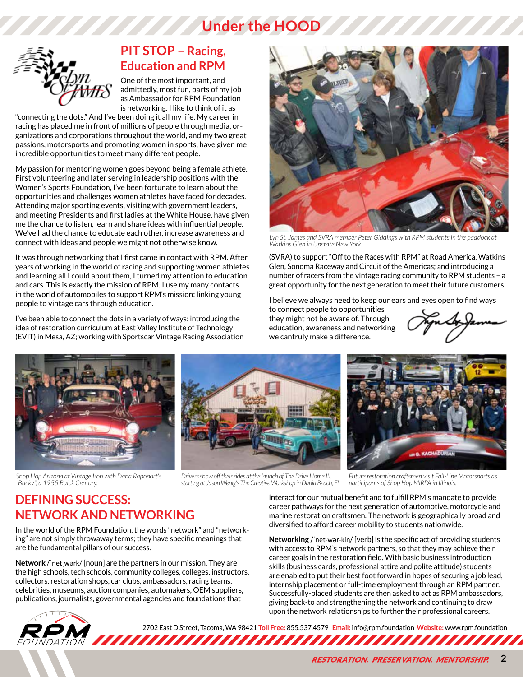# **Under the HOOD**



### **PIT STOP – Racing, Education and RPM**

One of the most important, and admittedly, most fun, parts of my job as Ambassador for RPM Foundation is networking. I like to think of it as

"connecting the dots." And I've been doing it all my life. My career in racing has placed me in front of millions of people through media, organizations and corporations throughout the world, and my two great passions, motorsports and promoting women in sports, have given me incredible opportunities to meet many different people.

My passion for mentoring women goes beyond being a female athlete. First volunteering and later serving in leadership positions with the Women's Sports Foundation, I've been fortunate to learn about the opportunities and challenges women athletes have faced for decades. Attending major sporting events, visiting with government leaders, and meeting Presidents and first ladies at the White House, have given me the chance to listen, learn and share ideas with influential people. We've had the chance to educate each other, increase awareness and connect with ideas and people we might not otherwise know.

It was through networking that I first came in contact with RPM. After years of working in the world of racing and supporting women athletes and learning all I could about them, I turned my attention to education and cars. This is exactly the mission of RPM. I use my many contacts in the world of automobiles to support RPM's mission: linking young people to vintage cars through education.

I've been able to connect the dots in a variety of ways: introducing the idea of restoration curriculum at East Valley Institute of Technology (EVIT) in Mesa, AZ; working with Sportscar Vintage Racing Association



*Lyn St. James and SVRA member Peter Giddings with RPM students in the paddock at Watkins Glen in Upstate New York.*

(SVRA) to support "Off to the Races with RPM" at Road America, Watkins Glen, Sonoma Raceway and Circuit of the Americas; and introducing a number of racers from the vintage racing community to RPM students – a great opportunity for the next generation to meet their future customers.

I believe we always need to keep our ears and eyes open to find ways

to connect people to opportunities they might not be aware of. Through education, awareness and networking we cantruly make a difference.



*Shop Hop Arizona at Vintage Iron with Dana Rapoport's "Bucky", a 1955 Buick Century.*



*Drivers show off their rides at the launch of The Drive Home III, starting at Jason Wenig's The Creative Workshop in Dania Beach, FL*



*Future restoration craftsmen visit Fall-Line Motorsports as participants of Shop Hop MiRPA in Illinois.*

### **DEFINING SUCCESS: NETWORK AND NETWORKING**

In the world of the RPM Foundation, the words "network" and "networking" are not simply throwaway terms; they have specific meanings that are the fundamental pillars of our success.

**Network** /ˈnetˌwərk/ [noun] are the partners in our mission. They are the high schools, tech schools, community colleges, colleges, instructors, collectors, restoration shops, car clubs, ambassadors, racing teams, celebrities, museums, auction companies, automakers, OEM suppliers, publications, journalists, governmental agencies and foundations that

interact for our mutual benefit and to fulfill RPM's mandate to provide career pathways for the next generation of automotive, motorcycle and marine restoration craftsmen. The network is geographically broad and diversified to afford career mobility to students nationwide.

**Networking** /ˈnet-wər-kiŋ/ [verb] is the specific act of providing students with access to RPM's network partners, so that they may achieve their career goals in the restoration field. With basic business introduction skills (business cards, professional attire and polite attitude) students are enabled to put their best foot forward in hopes of securing a job lead, internship placement or full-time employment through an RPM partner. Successfully-placed students are then asked to act as RPM ambassadors, giving back-to and strengthening the network and continuing to draw upon the network relationships to further their professional careers.



2702 East D Street, Tacoma, WA 98421 Toll Free: 855.537.4579 **Email:** info@rpm.foundation Website: www.rpm.foundation<br>FOUNDATION ANDELLA ANDELLA ANDELLA ANDELLA ALLA ANDELLA ANDELLA ANDELLA ANDELLA ANDELLA ANDELLA ANDELLA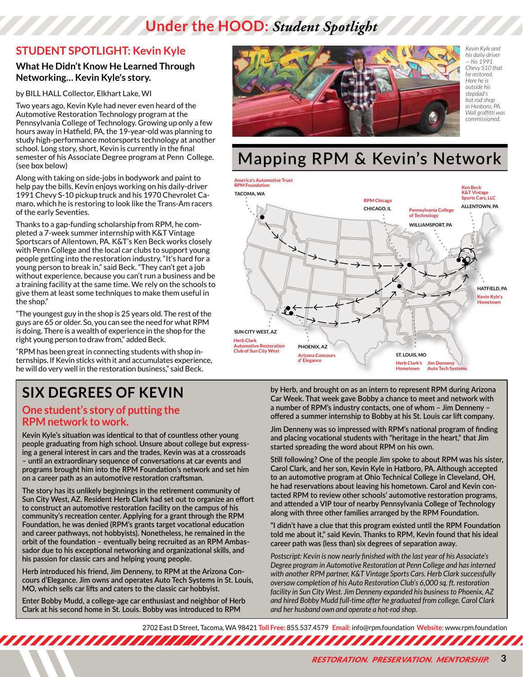# **Under the HOOD:** *Student Spotlight*

### **STUDENT SPOTLIGHT: Kevin Kyle**

#### **What He Didn't Know He Learned Through Networking… Kevin Kyle's story.**

by BILL HALL Collector, Elkhart Lake, WI

Two years ago, Kevin Kyle had never even heard of the Automotive Restoration Technology program at the Pennsylvania College of Technology. Growing up only a few hours away in Hatfield, PA, the 19-year-old was planning to study high-performance motorsports technology at another school. Long story, short, Kevin is currently in the final semester of his Associate Degree program at Penn College. (see box below)

Along with taking on side-jobs in bodywork and paint to help pay the bills, Kevin enjoys working on his daily-driver 1991 Chevy S-10 pickup truck and his 1970 Chevrolet Camaro, which he is restoring to look like the Trans-Am racers of the early Seventies.

Thanks to a gap-funding scholarship from RPM, he completed a 7-week summer internship with K&T Vintage Sportscars of Allentown, PA. K&T's Ken Beck works closely with Penn College and the local car clubs to support young people getting into the restoration industry. "It's hard for a young person to break in," said Beck. "They can't get a job without experience, because you can't run a business and be a training facility at the same time. We rely on the schools to give them at least some techniques to make them useful in the shop."

"The youngest guy in the shop is 25 years old. The rest of the guys are 65 or older. So, you can see the need for what RPM is doing. There is a wealth of experience in the shop for the right young person to draw from," added Beck.

"RPM has been great in connecting students with shop internships. If Kevin sticks with it and accumulates experience, he will do very well in the restoration business," said Beck.

# **SIX DEGREES OF KEVIN**

#### **One student's story of putting the RPM network to work.**

**Kevin Kyle's situation was identical to that of countless other young people graduating from high school. Unsure about college but expressing a general interest in cars and the trades, Kevin was at a crossroads – until an extraordinary sequence of conversations at car events and programs brought him into the RPM Foundation's network and set him on a career path as an automotive restoration craftsman.**

**The story has its unlikely beginnings in the retirement community of Sun City West, AZ. Resident Herb Clark had set out to organize an effort to construct an automotive restoration facility on the campus of his community's recreation center. Applying for a grant through the RPM Foundation, he was denied (RPM's grants target vocational education and career pathways, not hobbyists). Nonetheless, he remained in the orbit of the foundation – eventually being recruited as an RPM Ambassador due to his exceptional networking and organizational skills, and his passion for classic cars and helping young people.**

**Herb introduced his friend, Jim Denneny, to RPM at the Arizona Concours d'Elegance. Jim owns and operates Auto Tech Systems in St. Louis, MO, which sells car lifts and caters to the classic car hobbyist.**

**Enter Bobby Mudd, a college-age car enthusiast and neighbor of Herb Clark at his second home in St. Louis. Bobby was introduced to RPM** 



*Kevin Kyle and his daily-driver — his 1991 Chevy S10 that he restored. Here he is outside his stepdad's hot rod shop in Hasboro, PA. Wall graffitti was commissioned.*

# **Mapping RPM & Kevin's Network**



**by Herb, and brought on as an intern to represent RPM during Arizona Car Week. That week gave Bobby a chance to meet and network with a number of RPM's industry contacts, one of whom – Jim Denneny – offered a summer internship to Bobby at his St. Louis car lift company.**

**Jim Denneny was so impressed with RPM's national program of finding and placing vocational students with "heritage in the heart," that Jim started spreading the word about RPM on his own.**

**Still following? One of the people Jim spoke to about RPM was his sister, Carol Clark, and her son, Kevin Kyle in Hatboro, PA. Although accepted to an automotive program at Ohio Technical College in Cleveland, OH, he had reservations about leaving his hometown. Carol and Kevin contacted RPM to review other schools' automotive restoration programs, and attended a VIP tour of nearby Pennsylvania College of Technology along with three other families arranged by the RPM Foundation.**

**"I didn't have a clue that this program existed until the RPM Foundation told me about it," said Kevin. Thanks to RPM, Kevin found that his ideal career path was (less than) six degrees of separation away.**

*Postscript: Kevin is now nearly finished with the last year of his Associate's Degree program in Automotive Restoration at Penn College and has interned with another RPM partner, K&T Vintage Sports Cars. Herb Clark successfully oversaw completion of his Auto Restoration Club's 6,000 sq. ft. restoration facility in Sun City West. Jim Denneny expanded his business to Phoenix, AZ and hired Bobby Mudd full-time after he graduated from college. Carol Clark and her husband own and operate a hot-rod shop.*

2702 East D Street, Tacoma, WA 98421 **Toll Free:** 855.537.4579 **Email:** info@rpm.foundation **Website:** www.rpm.foundation